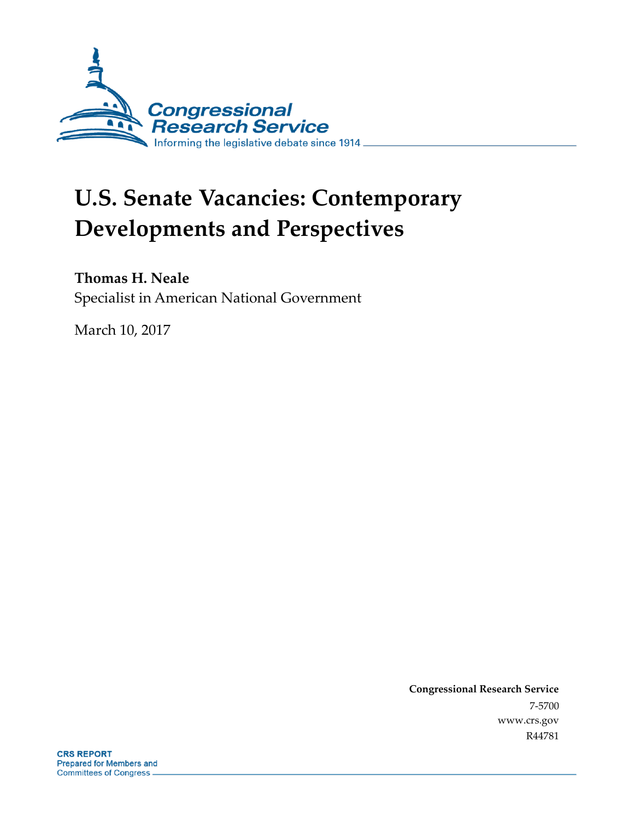

# **U.S. Senate Vacancies: Contemporary Developments and Perspectives**

### **Thomas H. Neale**

Specialist in American National Government

March 10, 2017

**Congressional Research Service** 7-5700 www.crs.gov R44781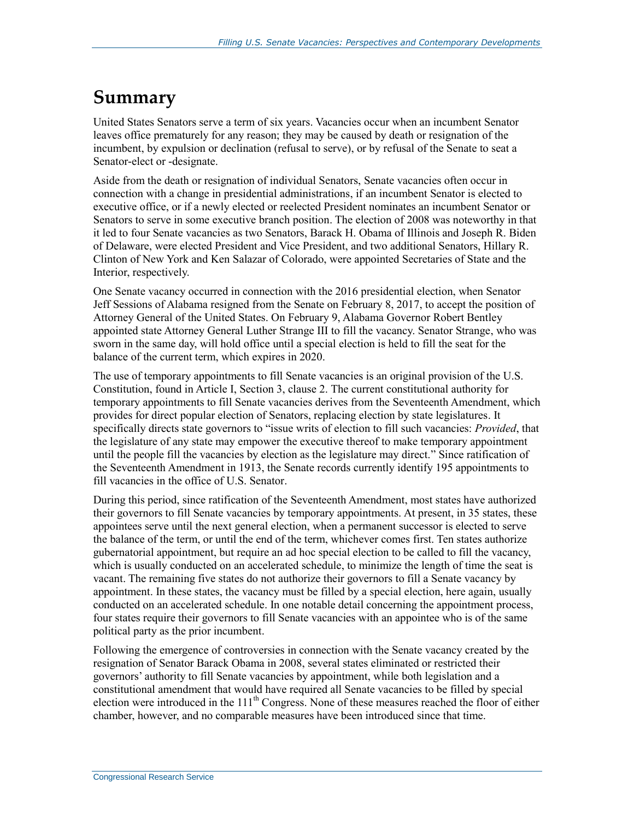## **Summary**

United States Senators serve a term of six years. Vacancies occur when an incumbent Senator leaves office prematurely for any reason; they may be caused by death or resignation of the incumbent, by expulsion or declination (refusal to serve), or by refusal of the Senate to seat a Senator-elect or -designate.

Aside from the death or resignation of individual Senators, Senate vacancies often occur in connection with a change in presidential administrations, if an incumbent Senator is elected to executive office, or if a newly elected or reelected President nominates an incumbent Senator or Senators to serve in some executive branch position. The election of 2008 was noteworthy in that it led to four Senate vacancies as two Senators, Barack H. Obama of Illinois and Joseph R. Biden of Delaware, were elected President and Vice President, and two additional Senators, Hillary R. Clinton of New York and Ken Salazar of Colorado, were appointed Secretaries of State and the Interior, respectively.

One Senate vacancy occurred in connection with the 2016 presidential election, when Senator Jeff Sessions of Alabama resigned from the Senate on February 8, 2017, to accept the position of Attorney General of the United States. On February 9, Alabama Governor Robert Bentley appointed state Attorney General Luther Strange III to fill the vacancy. Senator Strange, who was sworn in the same day, will hold office until a special election is held to fill the seat for the balance of the current term, which expires in 2020.

The use of temporary appointments to fill Senate vacancies is an original provision of the U.S. Constitution, found in Article I, Section 3, clause 2. The current constitutional authority for temporary appointments to fill Senate vacancies derives from the Seventeenth Amendment, which provides for direct popular election of Senators, replacing election by state legislatures. It specifically directs state governors to "issue writs of election to fill such vacancies: *Provided*, that the legislature of any state may empower the executive thereof to make temporary appointment until the people fill the vacancies by election as the legislature may direct." Since ratification of the Seventeenth Amendment in 1913, the Senate records currently identify 195 appointments to fill vacancies in the office of U.S. Senator.

During this period, since ratification of the Seventeenth Amendment, most states have authorized their governors to fill Senate vacancies by temporary appointments. At present, in 35 states, these appointees serve until the next general election, when a permanent successor is elected to serve the balance of the term, or until the end of the term, whichever comes first. Ten states authorize gubernatorial appointment, but require an ad hoc special election to be called to fill the vacancy, which is usually conducted on an accelerated schedule, to minimize the length of time the seat is vacant. The remaining five states do not authorize their governors to fill a Senate vacancy by appointment. In these states, the vacancy must be filled by a special election, here again, usually conducted on an accelerated schedule. In one notable detail concerning the appointment process, four states require their governors to fill Senate vacancies with an appointee who is of the same political party as the prior incumbent.

Following the emergence of controversies in connection with the Senate vacancy created by the resignation of Senator Barack Obama in 2008, several states eliminated or restricted their governors' authority to fill Senate vacancies by appointment, while both legislation and a constitutional amendment that would have required all Senate vacancies to be filled by special election were introduced in the 111<sup>th</sup> Congress. None of these measures reached the floor of either chamber, however, and no comparable measures have been introduced since that time.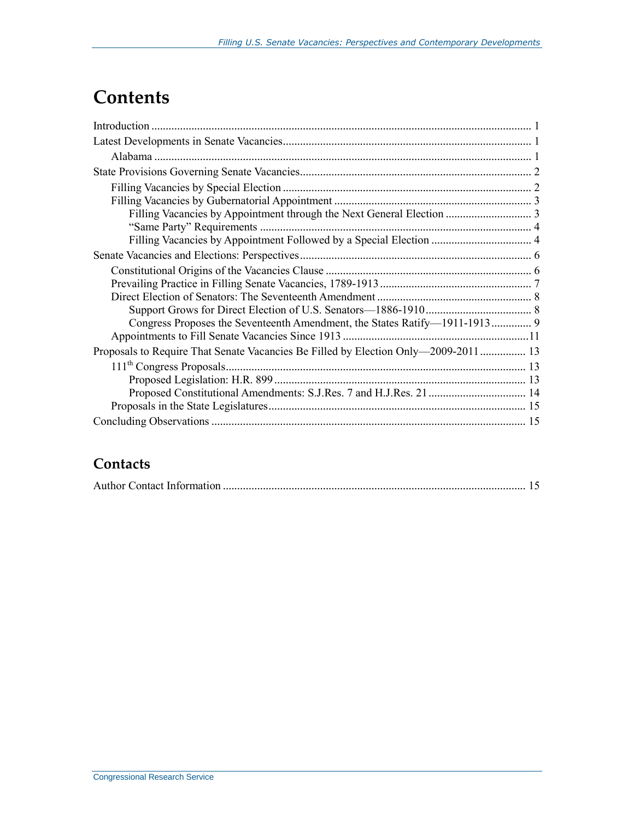## **Contents**

| Proposals to Require That Senate Vacancies Be Filled by Election Only—2009-2011  13 |  |
|-------------------------------------------------------------------------------------|--|
|                                                                                     |  |
|                                                                                     |  |
|                                                                                     |  |
|                                                                                     |  |
|                                                                                     |  |

### **Contacts**

|--|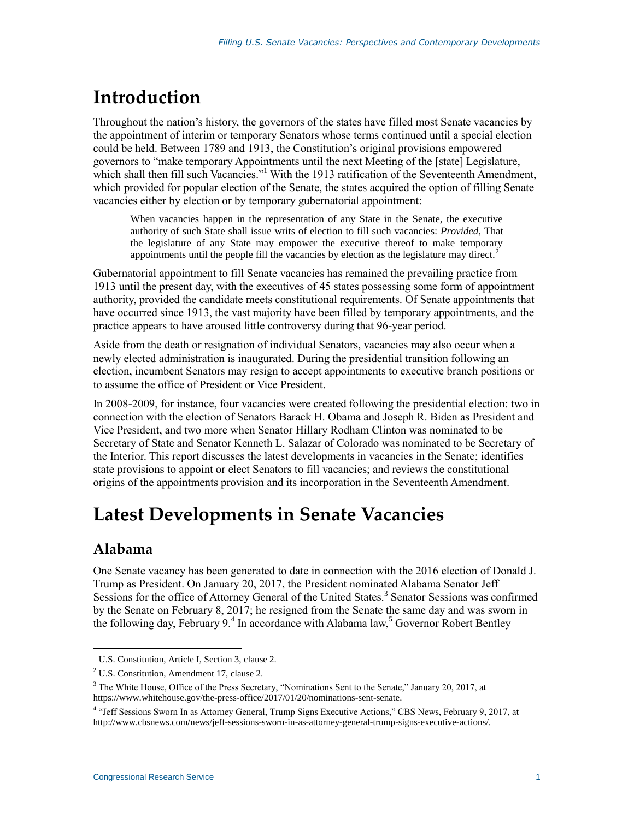## **Introduction**

Throughout the nation's history, the governors of the states have filled most Senate vacancies by the appointment of interim or temporary Senators whose terms continued until a special election could be held. Between 1789 and 1913, the Constitution's original provisions empowered governors to "make temporary Appointments until the next Meeting of the [state] Legislature, which shall then fill such Vacancies."<sup>1</sup> With the 1913 ratification of the Seventeenth Amendment, which provided for popular election of the Senate, the states acquired the option of filling Senate vacancies either by election or by temporary gubernatorial appointment:

When vacancies happen in the representation of any State in the Senate, the executive authority of such State shall issue writs of election to fill such vacancies: *Provided,* That the legislature of any State may empower the executive thereof to make temporary appointments until the people fill the vacancies by election as the legislature may direct.<sup>2</sup>

Gubernatorial appointment to fill Senate vacancies has remained the prevailing practice from 1913 until the present day, with the executives of 45 states possessing some form of appointment authority, provided the candidate meets constitutional requirements. Of Senate appointments that have occurred since 1913, the vast majority have been filled by temporary appointments, and the practice appears to have aroused little controversy during that 96-year period.

Aside from the death or resignation of individual Senators, vacancies may also occur when a newly elected administration is inaugurated. During the presidential transition following an election, incumbent Senators may resign to accept appointments to executive branch positions or to assume the office of President or Vice President.

In 2008-2009, for instance, four vacancies were created following the presidential election: two in connection with the election of Senators Barack H. Obama and Joseph R. Biden as President and Vice President, and two more when Senator Hillary Rodham Clinton was nominated to be Secretary of State and Senator Kenneth L. Salazar of Colorado was nominated to be Secretary of the Interior. This report discusses the latest developments in vacancies in the Senate; identifies state provisions to appoint or elect Senators to fill vacancies; and reviews the constitutional origins of the appointments provision and its incorporation in the Seventeenth Amendment.

## **Latest Developments in Senate Vacancies**

### **Alabama**

One Senate vacancy has been generated to date in connection with the 2016 election of Donald J. Trump as President. On January 20, 2017, the President nominated Alabama Senator Jeff Sessions for the office of Attorney General of the United States.<sup>3</sup> Senator Sessions was confirmed by the Senate on February 8, 2017; he resigned from the Senate the same day and was sworn in the following day, February  $9.4$  In accordance with Alabama law,<sup>5</sup> Governor Robert Bentley

 $\overline{a}$ <sup>1</sup> U.S. Constitution, Article I, Section 3, clause 2.

<sup>2</sup> U.S. Constitution, Amendment 17, clause 2.

 $3$  The White House, Office of the Press Secretary, "Nominations Sent to the Senate," January 20, 2017, at https://www.whitehouse.gov/the-press-office/2017/01/20/nominations-sent-senate.

<sup>4</sup> "Jeff Sessions Sworn In as Attorney General, Trump Signs Executive Actions," CBS News, February 9, 2017, at http://www.cbsnews.com/news/jeff-sessions-sworn-in-as-attorney-general-trump-signs-executive-actions/.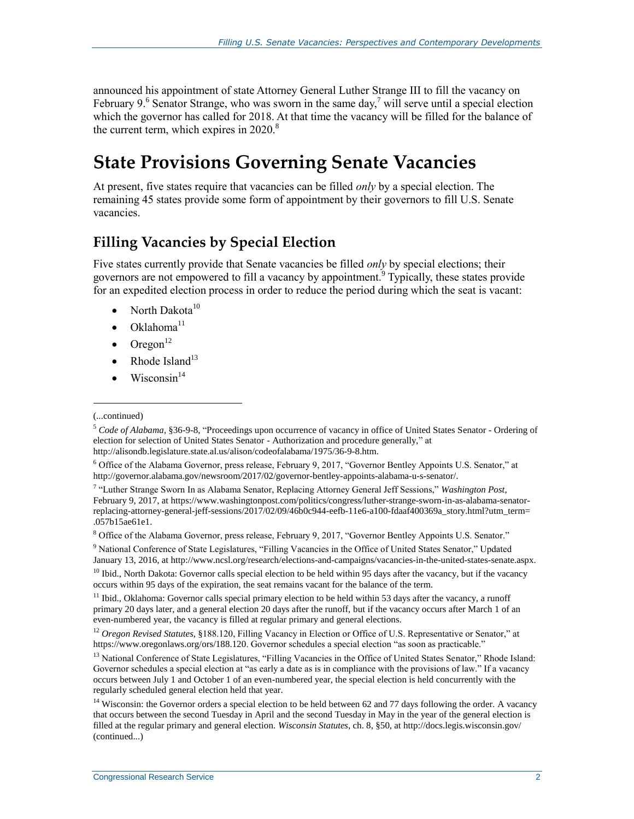announced his appointment of state Attorney General Luther Strange III to fill the vacancy on February 9.<sup>6</sup> Senator Strange, who was sworn in the same day,<sup>7</sup> will serve until a special election which the governor has called for 2018. At that time the vacancy will be filled for the balance of the current term, which expires in  $2020$ .<sup>8</sup>

## **State Provisions Governing Senate Vacancies**

At present, five states require that vacancies can be filled *only* by a special election. The remaining 45 states provide some form of appointment by their governors to fill U.S. Senate vacancies.

### **Filling Vacancies by Special Election**

Five states currently provide that Senate vacancies be filled *only* by special elections; their governors are not empowered to fill a vacancy by appointment.<sup>9</sup> Typically, these states provide for an expedited election process in order to reduce the period during which the seat is vacant:

- North Dakota $10$
- $\bullet$  Oklahoma<sup>11</sup>
- $\bullet$  Oregon<sup>12</sup>
- Rhode Island<sup>13</sup>
- $\bullet$  Wisconsin<sup>14</sup>

<sup>(...</sup>continued)

<sup>5</sup> *Code of Alabama*, §36-9-8, "Proceedings upon occurrence of vacancy in office of United States Senator - Ordering of election for selection of United States Senator - Authorization and procedure generally," at http://alisondb.legislature.state.al.us/alison/codeofalabama/1975/36-9-8.htm.

<sup>6</sup> Office of the Alabama Governor, press release, February 9, 2017, "Governor Bentley Appoints U.S. Senator," at http://governor.alabama.gov/newsroom/2017/02/governor-bentley-appoints-alabama-u-s-senator/.

<sup>7</sup> "Luther Strange Sworn In as Alabama Senator, Replacing Attorney General Jeff Sessions," *Washington Post*, February 9, 2017, at https://www.washingtonpost.com/politics/congress/luther-strange-sworn-in-as-alabama-senatorreplacing-attorney-general-jeff-sessions/2017/02/09/46b0c944-eefb-11e6-a100-fdaaf400369a\_story.html?utm\_term= .057b15ae61e1.

<sup>8</sup> Office of the Alabama Governor, press release, February 9, 2017, "Governor Bentley Appoints U.S. Senator."

<sup>&</sup>lt;sup>9</sup> National Conference of State Legislatures, "Filling Vacancies in the Office of United States Senator," Updated January 13, 2016, at http://www.ncsl.org/research/elections-and-campaigns/vacancies-in-the-united-states-senate.aspx.

<sup>&</sup>lt;sup>10</sup> Ibid., North Dakota: Governor calls special election to be held within 95 days after the vacancy, but if the vacancy occurs within 95 days of the expiration, the seat remains vacant for the balance of the term.

 $11$  Ibid., Oklahoma: Governor calls special primary election to be held within 53 days after the vacancy, a runoff primary 20 days later, and a general election 20 days after the runoff, but if the vacancy occurs after March 1 of an even-numbered year, the vacancy is filled at regular primary and general elections.

<sup>12</sup> *Oregon Revised Statutes*, §188.120, Filling Vacancy in Election or Office of U.S. Representative or Senator," at https://www.oregonlaws.org/ors/188.120. Governor schedules a special election "as soon as practicable."

<sup>&</sup>lt;sup>13</sup> National Conference of State Legislatures, "Filling Vacancies in the Office of United States Senator," Rhode Island: Governor schedules a special election at "as early a date as is in compliance with the provisions of law." If a vacancy occurs between July 1 and October 1 of an even-numbered year, the special election is held concurrently with the regularly scheduled general election held that year.

 $14$  Wisconsin: the Governor orders a special election to be held between 62 and 77 days following the order. A vacancy that occurs between the second Tuesday in April and the second Tuesday in May in the year of the general election is filled at the regular primary and general election. *Wisconsin Statutes*, ch. 8, §50, at http://docs.legis.wisconsin.gov/ (continued...)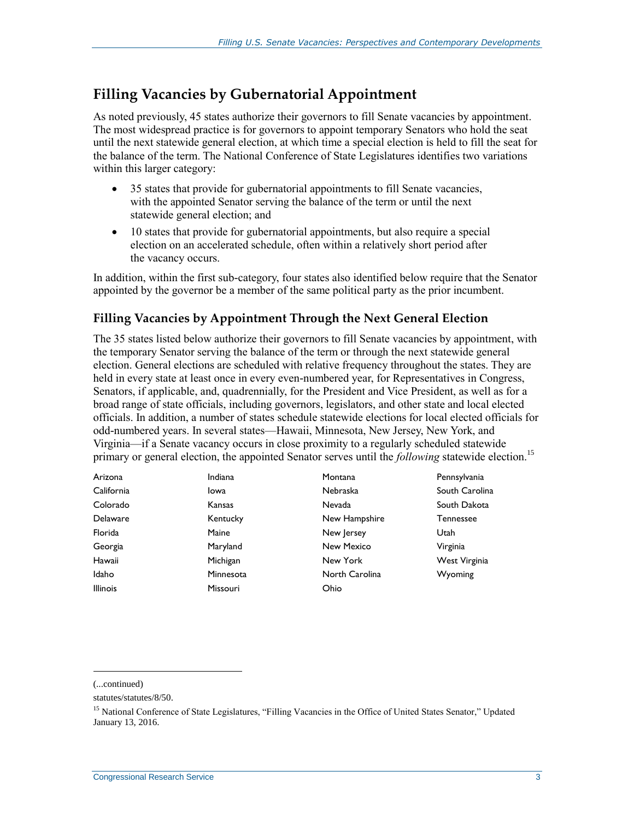### **Filling Vacancies by Gubernatorial Appointment**

As noted previously, 45 states authorize their governors to fill Senate vacancies by appointment. The most widespread practice is for governors to appoint temporary Senators who hold the seat until the next statewide general election, at which time a special election is held to fill the seat for the balance of the term. The National Conference of State Legislatures identifies two variations within this larger category:

- 35 states that provide for gubernatorial appointments to fill Senate vacancies, with the appointed Senator serving the balance of the term or until the next statewide general election; and
- 10 states that provide for gubernatorial appointments, but also require a special election on an accelerated schedule, often within a relatively short period after the vacancy occurs.

In addition, within the first sub-category, four states also identified below require that the Senator appointed by the governor be a member of the same political party as the prior incumbent.

#### **Filling Vacancies by Appointment Through the Next General Election**

The 35 states listed below authorize their governors to fill Senate vacancies by appointment, with the temporary Senator serving the balance of the term or through the next statewide general election. General elections are scheduled with relative frequency throughout the states. They are held in every state at least once in every even-numbered year, for Representatives in Congress, Senators, if applicable, and, quadrennially, for the President and Vice President, as well as for a broad range of state officials, including governors, legislators, and other state and local elected officials. In addition, a number of states schedule statewide elections for local elected officials for odd-numbered years. In several states—Hawaii, Minnesota, New Jersey, New York, and Virginia—if a Senate vacancy occurs in close proximity to a regularly scheduled statewide primary or general election, the appointed Senator serves until the *following* statewide election.<sup>15</sup>

| Arizona         | Indiana         | Montana        | Pennsylvania   |
|-----------------|-----------------|----------------|----------------|
| California      | Iowa            | Nebraska       | South Carolina |
| Colorado        | Kansas          | <b>Nevada</b>  | South Dakota   |
| Delaware        | Kentucky        | New Hampshire  | Tennessee      |
| Florida         | Maine           | New Jersey     | Utah           |
| Georgia         | Maryland        | New Mexico     | Virginia       |
| Hawaii          | Michigan        | New York       | West Virginia  |
| Idaho           | Minnesota       | North Carolina | Wyoming        |
| <b>Illinois</b> | <b>Missouri</b> | Ohio           |                |

(...continued)

statutes/statutes/8/50.

<sup>&</sup>lt;sup>15</sup> National Conference of State Legislatures, "Filling Vacancies in the Office of United States Senator," Updated January 13, 2016.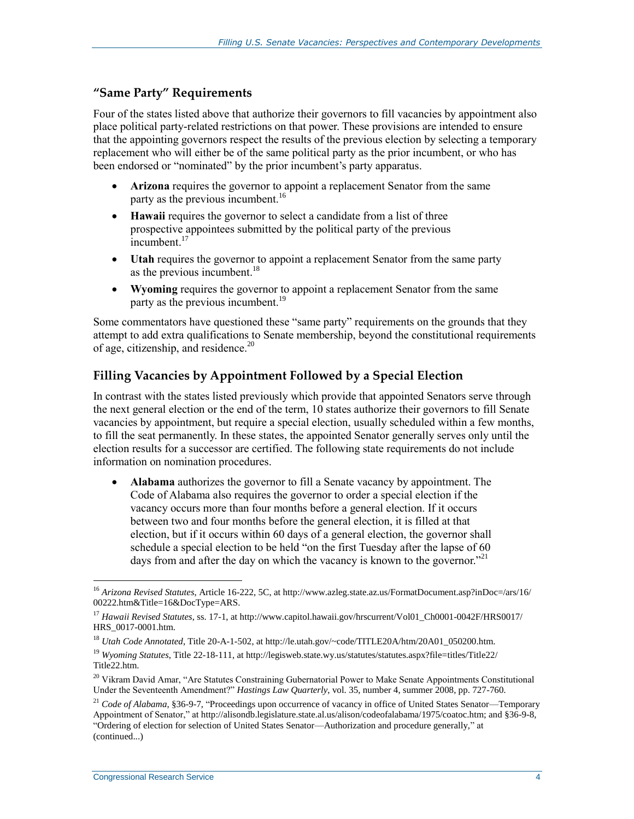#### **"Same Party" Requirements**

Four of the states listed above that authorize their governors to fill vacancies by appointment also place political party-related restrictions on that power. These provisions are intended to ensure that the appointing governors respect the results of the previous election by selecting a temporary replacement who will either be of the same political party as the prior incumbent, or who has been endorsed or "nominated" by the prior incumbent's party apparatus.

- **Arizona** requires the governor to appoint a replacement Senator from the same party as the previous incumbent.<sup>16</sup>
- **Hawaii** requires the governor to select a candidate from a list of three prospective appointees submitted by the political party of the previous incumbent.<sup>17</sup>
- **Utah** requires the governor to appoint a replacement Senator from the same party as the previous incumbent. $18$
- **Wyoming** requires the governor to appoint a replacement Senator from the same party as the previous incumbent.<sup>19</sup>

Some commentators have questioned these "same party" requirements on the grounds that they attempt to add extra qualifications to Senate membership, beyond the constitutional requirements of age, citizenship, and residence.<sup>20</sup>

#### **Filling Vacancies by Appointment Followed by a Special Election**

In contrast with the states listed previously which provide that appointed Senators serve through the next general election or the end of the term, 10 states authorize their governors to fill Senate vacancies by appointment, but require a special election, usually scheduled within a few months, to fill the seat permanently. In these states, the appointed Senator generally serves only until the election results for a successor are certified. The following state requirements do not include information on nomination procedures.

 **Alabama** authorizes the governor to fill a Senate vacancy by appointment. The Code of Alabama also requires the governor to order a special election if the vacancy occurs more than four months before a general election. If it occurs between two and four months before the general election, it is filled at that election, but if it occurs within 60 days of a general election, the governor shall schedule a special election to be held "on the first Tuesday after the lapse of 60 days from and after the day on which the vacancy is known to the governor.<sup> $21$ </sup>

<sup>16</sup> *Arizona Revised Statutes*, Article 16-222, 5C, at http://www.azleg.state.az.us/FormatDocument.asp?inDoc=/ars/16/ 00222.htm&Title=16&DocType=ARS.

<sup>17</sup> *Hawaii Revised Statutes*, ss. 17-1, at http://www.capitol.hawaii.gov/hrscurrent/Vol01\_Ch0001-0042F/HRS0017/ HRS\_0017-0001.htm.

<sup>18</sup> *Utah Code Annotated*, Title 20-A-1-502, at http://le.utah.gov/~code/TITLE20A/htm/20A01\_050200.htm.

<sup>19</sup> *Wyoming Statutes*, Title 22-18-111, at http://legisweb.state.wy.us/statutes/statutes.aspx?file=titles/Title22/ Title22.htm.

<sup>&</sup>lt;sup>20</sup> Vikram David Amar, "Are Statutes Constraining Gubernatorial Power to Make Senate Appointments Constitutional Under the Seventeenth Amendment?" *Hastings Law Quarterly*, vol. 35, number 4, summer 2008, pp. 727-760.

<sup>&</sup>lt;sup>21</sup> *Code of Alabama*, §36-9-7, "Proceedings upon occurrence of vacancy in office of United States Senator—Temporary Appointment of Senator," at http://alisondb.legislature.state.al.us/alison/codeofalabama/1975/coatoc.htm; and §36-9-8, "Ordering of election for selection of United States Senator—Authorization and procedure generally," at (continued...)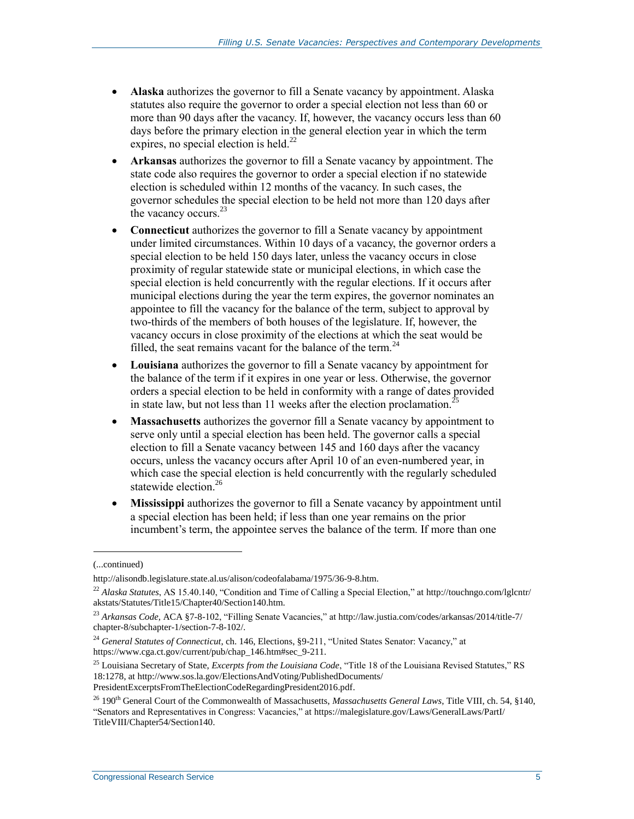- **Alaska** authorizes the governor to fill a Senate vacancy by appointment. Alaska statutes also require the governor to order a special election not less than 60 or more than 90 days after the vacancy. If, however, the vacancy occurs less than 60 days before the primary election in the general election year in which the term expires, no special election is held.<sup>22</sup>
- **Arkansas** authorizes the governor to fill a Senate vacancy by appointment. The state code also requires the governor to order a special election if no statewide election is scheduled within 12 months of the vacancy. In such cases, the governor schedules the special election to be held not more than 120 days after the vacancy occurs.<sup>23</sup>
- **Connecticut** authorizes the governor to fill a Senate vacancy by appointment under limited circumstances. Within 10 days of a vacancy, the governor orders a special election to be held 150 days later, unless the vacancy occurs in close proximity of regular statewide state or municipal elections, in which case the special election is held concurrently with the regular elections. If it occurs after municipal elections during the year the term expires, the governor nominates an appointee to fill the vacancy for the balance of the term, subject to approval by two-thirds of the members of both houses of the legislature. If, however, the vacancy occurs in close proximity of the elections at which the seat would be filled, the seat remains vacant for the balance of the term.<sup>24</sup>
- **Louisiana** authorizes the governor to fill a Senate vacancy by appointment for the balance of the term if it expires in one year or less. Otherwise, the governor orders a special election to be held in conformity with a range of dates provided in state law, but not less than 11 weeks after the election proclamation.<sup>2</sup>
- **Massachusetts** authorizes the governor fill a Senate vacancy by appointment to serve only until a special election has been held. The governor calls a special election to fill a Senate vacancy between 145 and 160 days after the vacancy occurs, unless the vacancy occurs after April 10 of an even-numbered year, in which case the special election is held concurrently with the regularly scheduled statewide election.<sup>26</sup>
- **Mississippi** authorizes the governor to fill a Senate vacancy by appointment until a special election has been held; if less than one year remains on the prior incumbent's term, the appointee serves the balance of the term. If more than one

<sup>(...</sup>continued)

http://alisondb.legislature.state.al.us/alison/codeofalabama/1975/36-9-8.htm.

<sup>&</sup>lt;sup>22</sup> Alaska Statutes, AS 15.40.140, "Condition and Time of Calling a Special Election," at http://touchngo.com/lglcntr/ akstats/Statutes/Title15/Chapter40/Section140.htm.

<sup>23</sup> *Arkansas Code,* ACA §7-8-102, "Filling Senate Vacancies," at http://law.justia.com/codes/arkansas/2014/title-7/ chapter-8/subchapter-1/section-7-8-102/.

<sup>24</sup> *General Statutes of Connecticut*, ch. 146, Elections, §9-211, "United States Senator: Vacancy," at https://www.cga.ct.gov/current/pub/chap\_146.htm#sec\_9-211.

<sup>25</sup> Louisiana Secretary of State, *Excerpts from the Louisiana Code*, "Title 18 of the Louisiana Revised Statutes," RS 18:1278, at http://www.sos.la.gov/ElectionsAndVoting/PublishedDocuments/ PresidentExcerptsFromTheElectionCodeRegardingPresident2016.pdf.

<sup>26</sup> 190th General Court of the Commonwealth of Massachusetts, *Massachusetts General Laws*, Title VIII, ch. 54, §140, "Senators and Representatives in Congress: Vacancies," at https://malegislature.gov/Laws/GeneralLaws/PartI/ TitleVIII/Chapter54/Section140.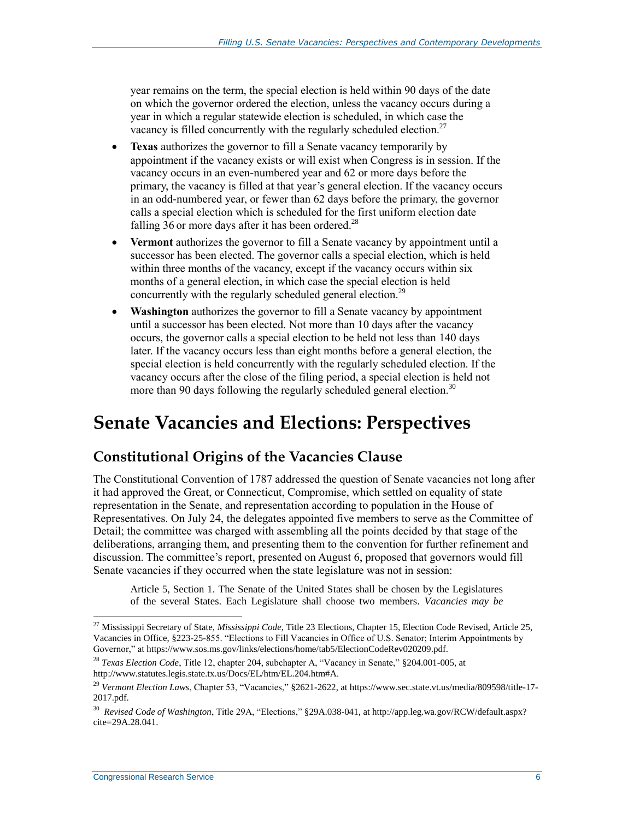year remains on the term, the special election is held within 90 days of the date on which the governor ordered the election, unless the vacancy occurs during a year in which a regular statewide election is scheduled, in which case the vacancy is filled concurrently with the regularly scheduled election.<sup>27</sup>

- **Texas** authorizes the governor to fill a Senate vacancy temporarily by appointment if the vacancy exists or will exist when Congress is in session. If the vacancy occurs in an even-numbered year and 62 or more days before the primary, the vacancy is filled at that year's general election. If the vacancy occurs in an odd-numbered year, or fewer than 62 days before the primary, the governor calls a special election which is scheduled for the first uniform election date falling 36 or more days after it has been ordered.<sup>28</sup>
- **Vermont** authorizes the governor to fill a Senate vacancy by appointment until a successor has been elected. The governor calls a special election, which is held within three months of the vacancy, except if the vacancy occurs within six months of a general election, in which case the special election is held concurrently with the regularly scheduled general election.<sup>29</sup>
- **Washington** authorizes the governor to fill a Senate vacancy by appointment until a successor has been elected. Not more than 10 days after the vacancy occurs, the governor calls a special election to be held not less than 140 days later. If the vacancy occurs less than eight months before a general election, the special election is held concurrently with the regularly scheduled election. If the vacancy occurs after the close of the filing period, a special election is held not more than 90 days following the regularly scheduled general election.<sup>30</sup>

## **Senate Vacancies and Elections: Perspectives**

### **Constitutional Origins of the Vacancies Clause**

The Constitutional Convention of 1787 addressed the question of Senate vacancies not long after it had approved the Great, or Connecticut, Compromise, which settled on equality of state representation in the Senate, and representation according to population in the House of Representatives. On July 24, the delegates appointed five members to serve as the Committee of Detail; the committee was charged with assembling all the points decided by that stage of the deliberations, arranging them, and presenting them to the convention for further refinement and discussion. The committee's report, presented on August 6, proposed that governors would fill Senate vacancies if they occurred when the state legislature was not in session:

Article 5, Section 1. The Senate of the United States shall be chosen by the Legislatures of the several States. Each Legislature shall choose two members. *Vacancies may be* 

<sup>27</sup> Mississippi Secretary of State, *Mississippi Code*, Title 23 Elections, Chapter 15, Election Code Revised, Article 25, Vacancies in Office, §223-25-855. "Elections to Fill Vacancies in Office of U.S. Senator; Interim Appointments by Governor," at https://www.sos.ms.gov/links/elections/home/tab5/ElectionCodeRev020209.pdf.

<sup>28</sup> *Texas Election Code*, Title 12, chapter 204, subchapter A, "Vacancy in Senate," §204.001-005, at http://www.statutes.legis.state.tx.us/Docs/EL/htm/EL.204.htm#A.

<sup>29</sup> *Vermont Election Laws*, Chapter 53, "Vacancies," §2621-2622, at https://www.sec.state.vt.us/media/809598/title-17- 2017.pdf.

<sup>30</sup> *Revised Code of Washington*, Title 29A, "Elections," §29A.038-041, at http://app.leg.wa.gov/RCW/default.aspx? cite=29A.28.041.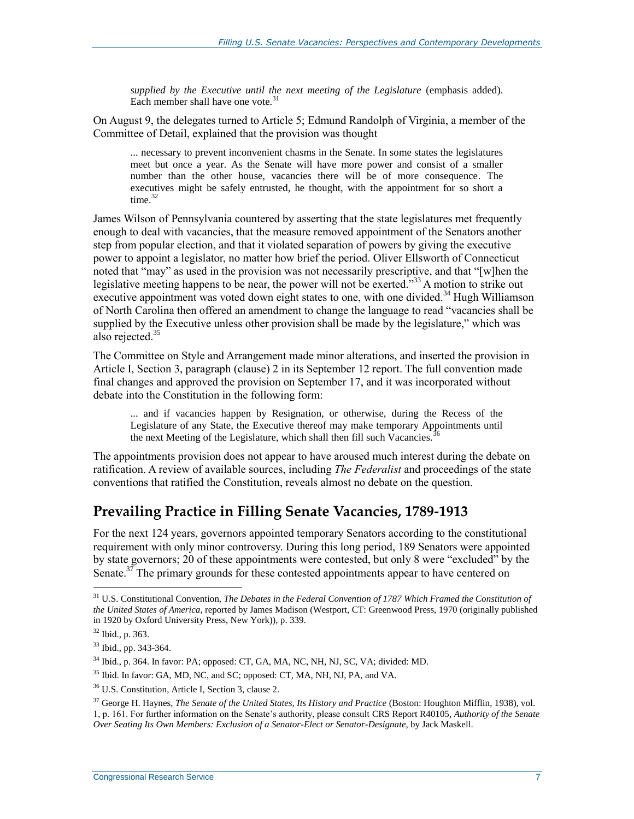*supplied by the Executive until the next meeting of the Legislature* (emphasis added). Each member shall have one vote. $31$ 

On August 9, the delegates turned to Article 5; Edmund Randolph of Virginia, a member of the Committee of Detail, explained that the provision was thought

... necessary to prevent inconvenient chasms in the Senate. In some states the legislatures meet but once a year. As the Senate will have more power and consist of a smaller number than the other house, vacancies there will be of more consequence. The executives might be safely entrusted, he thought, with the appointment for so short a time $^{32}$ 

James Wilson of Pennsylvania countered by asserting that the state legislatures met frequently enough to deal with vacancies, that the measure removed appointment of the Senators another step from popular election, and that it violated separation of powers by giving the executive power to appoint a legislator, no matter how brief the period. Oliver Ellsworth of Connecticut noted that "may" as used in the provision was not necessarily prescriptive, and that "[w]hen the legislative meeting happens to be near, the power will not be exerted."<sup>33</sup> A motion to strike out executive appointment was voted down eight states to one, with one divided.<sup>34</sup> Hugh Williamson of North Carolina then offered an amendment to change the language to read "vacancies shall be supplied by the Executive unless other provision shall be made by the legislature," which was also rejected.<sup>35</sup>

The Committee on Style and Arrangement made minor alterations, and inserted the provision in Article I, Section 3, paragraph (clause) 2 in its September 12 report. The full convention made final changes and approved the provision on September 17, and it was incorporated without debate into the Constitution in the following form:

... and if vacancies happen by Resignation, or otherwise, during the Recess of the Legislature of any State, the Executive thereof may make temporary Appointments until the next Meeting of the Legislature, which shall then fill such Vacancies.<sup>3</sup>

The appointments provision does not appear to have aroused much interest during the debate on ratification. A review of available sources, including *The Federalist* and proceedings of the state conventions that ratified the Constitution, reveals almost no debate on the question.

### **Prevailing Practice in Filling Senate Vacancies, 1789-1913**

For the next 124 years, governors appointed temporary Senators according to the constitutional requirement with only minor controversy. During this long period, 189 Senators were appointed by state governors; 20 of these appointments were contested, but only 8 were "excluded" by the Senate.<sup>37</sup> The primary grounds for these contested appointments appear to have centered on

<sup>31</sup> U.S. Constitutional Convention, *The Debates in the Federal Convention of 1787 Which Framed the Constitution of the United States of America*, reported by James Madison (Westport, CT: Greenwood Press, 1970 (originally published in 1920 by Oxford University Press, New York)), p. 339.

<sup>32</sup> Ibid., p. 363.

<sup>33</sup> Ibid., pp. 343-364.

 $34$  Ibid., p. 364. In favor: PA; opposed: CT, GA, MA, NC, NH, NJ, SC, VA; divided: MD.

<sup>&</sup>lt;sup>35</sup> Ibid. In favor: GA, MD, NC, and SC; opposed: CT, MA, NH, NJ, PA, and VA.

<sup>36</sup> U.S. Constitution, Article I, Section 3, clause 2.

<sup>37</sup> George H. Haynes, *The Senate of the United States, Its History and Practice* (Boston: Houghton Mifflin, 1938), vol. 1, p. 161. For further information on the Senate's authority, please consult CRS Report R40105, *Authority of the Senate Over Seating Its Own Members: Exclusion of a Senator-Elect or Senator-Designate*, by Jack Maskell.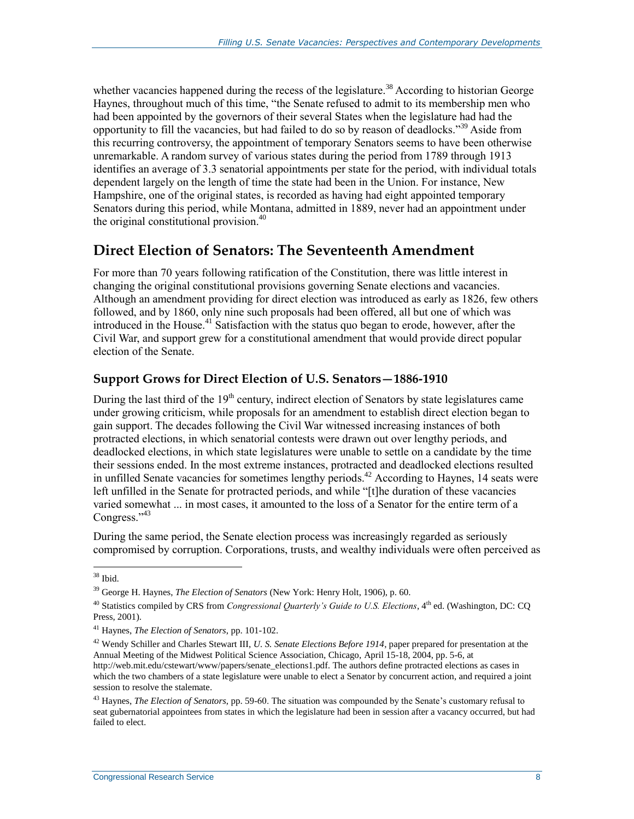whether vacancies happened during the recess of the legislature.<sup>38</sup> According to historian George Haynes, throughout much of this time, "the Senate refused to admit to its membership men who had been appointed by the governors of their several States when the legislature had had the opportunity to fill the vacancies, but had failed to do so by reason of deadlocks."<sup>39</sup> Aside from this recurring controversy, the appointment of temporary Senators seems to have been otherwise unremarkable. A random survey of various states during the period from 1789 through 1913 identifies an average of 3.3 senatorial appointments per state for the period, with individual totals dependent largely on the length of time the state had been in the Union. For instance, New Hampshire, one of the original states, is recorded as having had eight appointed temporary Senators during this period, while Montana, admitted in 1889, never had an appointment under the original constitutional provision.<sup>40</sup>

### **Direct Election of Senators: The Seventeenth Amendment**

For more than 70 years following ratification of the Constitution, there was little interest in changing the original constitutional provisions governing Senate elections and vacancies. Although an amendment providing for direct election was introduced as early as 1826, few others followed, and by 1860, only nine such proposals had been offered, all but one of which was introduced in the House.<sup>41</sup> Satisfaction with the status quo began to erode, however, after the Civil War, and support grew for a constitutional amendment that would provide direct popular election of the Senate.

#### **Support Grows for Direct Election of U.S. Senators—1886-1910**

During the last third of the  $19<sup>th</sup>$  century, indirect election of Senators by state legislatures came under growing criticism, while proposals for an amendment to establish direct election began to gain support. The decades following the Civil War witnessed increasing instances of both protracted elections, in which senatorial contests were drawn out over lengthy periods, and deadlocked elections, in which state legislatures were unable to settle on a candidate by the time their sessions ended. In the most extreme instances, protracted and deadlocked elections resulted in unfilled Senate vacancies for sometimes lengthy periods.<sup>42</sup> According to Haynes, 14 seats were left unfilled in the Senate for protracted periods, and while "[t]he duration of these vacancies varied somewhat ... in most cases, it amounted to the loss of a Senator for the entire term of a Congress."<sup>43</sup>

During the same period, the Senate election process was increasingly regarded as seriously compromised by corruption. Corporations, trusts, and wealthy individuals were often perceived as

 $38$  Ibid.

<sup>39</sup> George H. Haynes, *The Election of Senators* (New York: Henry Holt, 1906), p. 60.

<sup>&</sup>lt;sup>40</sup> Statistics compiled by CRS from *Congressional Quarterly's Guide to U.S. Elections*, 4<sup>th</sup> ed. (Washington, DC: CO Press, 2001).

<sup>41</sup> Haynes, *The Election of Senators*, pp. 101-102.

<sup>42</sup> Wendy Schiller and Charles Stewart III, *U. S. Senate Elections Before 1914*, paper prepared for presentation at the Annual Meeting of the Midwest Political Science Association, Chicago, April 15-18, 2004, pp. 5-6, at http://web.mit.edu/cstewart/www/papers/senate\_elections1.pdf. The authors define protracted elections as cases in which the two chambers of a state legislature were unable to elect a Senator by concurrent action, and required a joint session to resolve the stalemate.

<sup>43</sup> Haynes, *The Election of Senators*, pp. 59-60. The situation was compounded by the Senate's customary refusal to seat gubernatorial appointees from states in which the legislature had been in session after a vacancy occurred, but had failed to elect.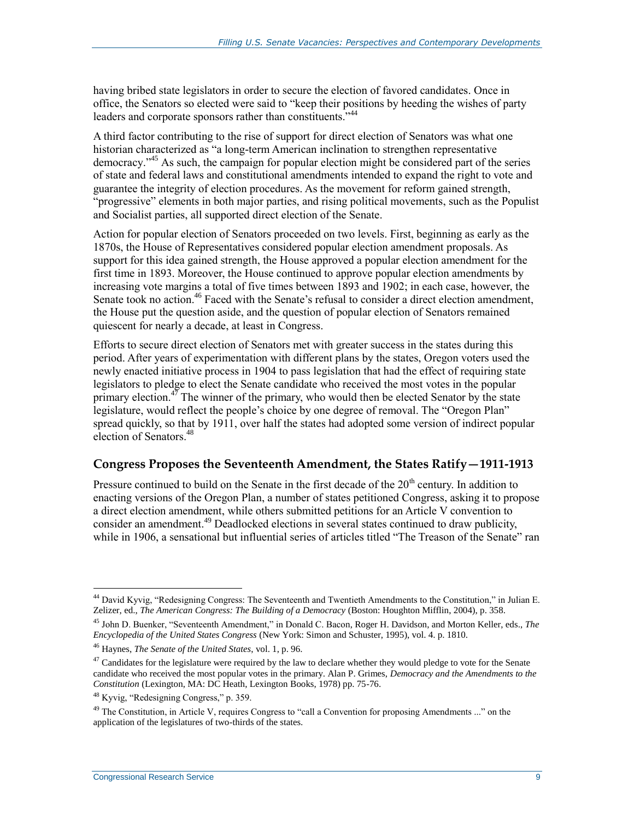having bribed state legislators in order to secure the election of favored candidates. Once in office, the Senators so elected were said to "keep their positions by heeding the wishes of party leaders and corporate sponsors rather than constituents."<sup>44</sup>

A third factor contributing to the rise of support for direct election of Senators was what one historian characterized as "a long-term American inclination to strengthen representative democracy." <sup>45</sup> As such, the campaign for popular election might be considered part of the series of state and federal laws and constitutional amendments intended to expand the right to vote and guarantee the integrity of election procedures. As the movement for reform gained strength, "progressive" elements in both major parties, and rising political movements, such as the Populist and Socialist parties, all supported direct election of the Senate.

Action for popular election of Senators proceeded on two levels. First, beginning as early as the 1870s, the House of Representatives considered popular election amendment proposals. As support for this idea gained strength, the House approved a popular election amendment for the first time in 1893. Moreover, the House continued to approve popular election amendments by increasing vote margins a total of five times between 1893 and 1902; in each case, however, the Senate took no action.<sup>46</sup> Faced with the Senate's refusal to consider a direct election amendment, the House put the question aside, and the question of popular election of Senators remained quiescent for nearly a decade, at least in Congress.

Efforts to secure direct election of Senators met with greater success in the states during this period. After years of experimentation with different plans by the states, Oregon voters used the newly enacted initiative process in 1904 to pass legislation that had the effect of requiring state legislators to pledge to elect the Senate candidate who received the most votes in the popular primary election.<sup>47</sup> The winner of the primary, who would then be elected Senator by the state legislature, would reflect the people's choice by one degree of removal. The "Oregon Plan" spread quickly, so that by 1911, over half the states had adopted some version of indirect popular election of Senators.<sup>48</sup>

#### **Congress Proposes the Seventeenth Amendment, the States Ratify—1911-1913**

Pressure continued to build on the Senate in the first decade of the 20<sup>th</sup> century. In addition to enacting versions of the Oregon Plan, a number of states petitioned Congress, asking it to propose a direct election amendment, while others submitted petitions for an Article V convention to consider an amendment.<sup>49</sup> Deadlocked elections in several states continued to draw publicity, while in 1906, a sensational but influential series of articles titled "The Treason of the Senate" ran

<sup>44</sup> David Kyvig, "Redesigning Congress: The Seventeenth and Twentieth Amendments to the Constitution," in Julian E. Zelizer, ed., *The American Congress: The Building of a Democracy* (Boston: Houghton Mifflin, 2004), p. 358.

<sup>45</sup> John D. Buenker, "Seventeenth Amendment," in Donald C. Bacon, Roger H. Davidson, and Morton Keller, eds., *The Encyclopedia of the United States Congress* (New York: Simon and Schuster, 1995), vol. 4. p. 1810.

<sup>46</sup> Haynes, *The Senate of the United States*, vol. 1, p. 96.

 $^{47}$  Candidates for the legislature were required by the law to declare whether they would pledge to vote for the Senate candidate who received the most popular votes in the primary. Alan P. Grimes, *Democracy and the Amendments to the Constitution* (Lexington, MA: DC Heath, Lexington Books, 1978) pp. 75-76.

<sup>48</sup> Kyvig, "Redesigning Congress," p. 359.

<sup>&</sup>lt;sup>49</sup> The Constitution, in Article V, requires Congress to "call a Convention for proposing Amendments ..." on the application of the legislatures of two-thirds of the states.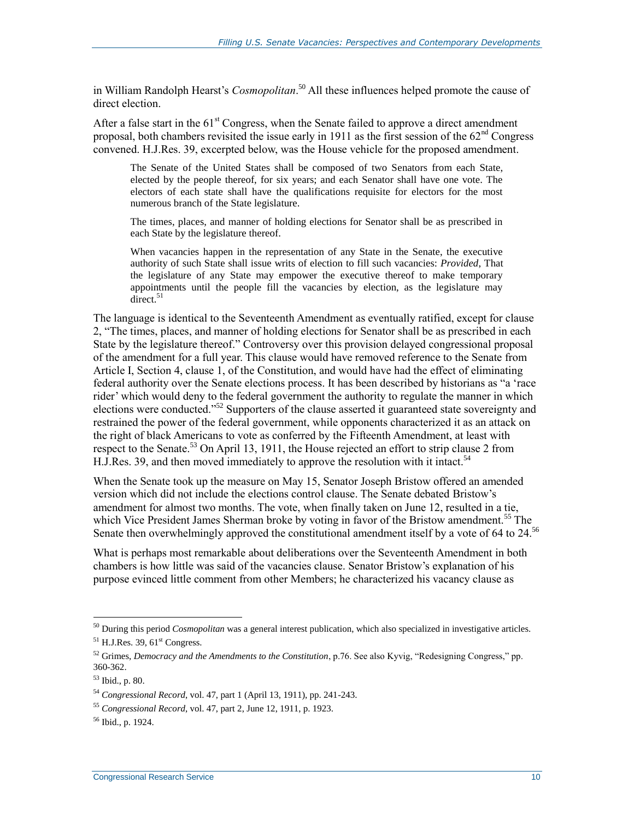in William Randolph Hearst's *Cosmopolitan*. <sup>50</sup> All these influences helped promote the cause of direct election.

After a false start in the  $61<sup>st</sup>$  Congress, when the Senate failed to approve a direct amendment proposal, both chambers revisited the issue early in 1911 as the first session of the  $62<sup>nd</sup>$  Congress convened. H.J.Res. 39, excerpted below, was the House vehicle for the proposed amendment.

The Senate of the United States shall be composed of two Senators from each State, elected by the people thereof, for six years; and each Senator shall have one vote. The electors of each state shall have the qualifications requisite for electors for the most numerous branch of the State legislature.

The times, places, and manner of holding elections for Senator shall be as prescribed in each State by the legislature thereof.

When vacancies happen in the representation of any State in the Senate, the executive authority of such State shall issue writs of election to fill such vacancies: *Provided*, That the legislature of any State may empower the executive thereof to make temporary appointments until the people fill the vacancies by election, as the legislature may  $\arccos 51$ 

The language is identical to the Seventeenth Amendment as eventually ratified, except for clause 2, "The times, places, and manner of holding elections for Senator shall be as prescribed in each State by the legislature thereof." Controversy over this provision delayed congressional proposal of the amendment for a full year. This clause would have removed reference to the Senate from Article I, Section 4, clause 1, of the Constitution, and would have had the effect of eliminating federal authority over the Senate elections process. It has been described by historians as "a 'race rider' which would deny to the federal government the authority to regulate the manner in which elections were conducted."<sup>52</sup> Supporters of the clause asserted it guaranteed state sovereignty and restrained the power of the federal government, while opponents characterized it as an attack on the right of black Americans to vote as conferred by the Fifteenth Amendment, at least with respect to the Senate.<sup>53</sup> On April 13, 1911, the House rejected an effort to strip clause 2 from  $H.J. Res. 39$ , and then moved immediately to approve the resolution with it intact.<sup>54</sup>

When the Senate took up the measure on May 15, Senator Joseph Bristow offered an amended version which did not include the elections control clause. The Senate debated Bristow's amendment for almost two months. The vote, when finally taken on June 12, resulted in a tie, which Vice President James Sherman broke by voting in favor of the Bristow amendment.<sup>55</sup> The Senate then overwhelmingly approved the constitutional amendment itself by a vote of 64 to 24.<sup>56</sup>

What is perhaps most remarkable about deliberations over the Seventeenth Amendment in both chambers is how little was said of the vacancies clause. Senator Bristow's explanation of his purpose evinced little comment from other Members; he characterized his vacancy clause as

<sup>50</sup> During this period *Cosmopolitan* was a general interest publication, which also specialized in investigative articles.  $<sup>51</sup>$  H.J.Res. 39, 61<sup>st</sup> Congress.</sup>

<sup>52</sup> Grimes, *Democracy and the Amendments to the Constitution*, p.76. See also Kyvig, "Redesigning Congress," pp. 360-362.

<sup>53</sup> Ibid., p. 80.

<sup>54</sup> *Congressional Record*, vol. 47, part 1 (April 13, 1911), pp. 241-243.

<sup>55</sup> *Congressional Record*, vol. 47, part 2, June 12, 1911, p. 1923.

<sup>56</sup> Ibid., p. 1924.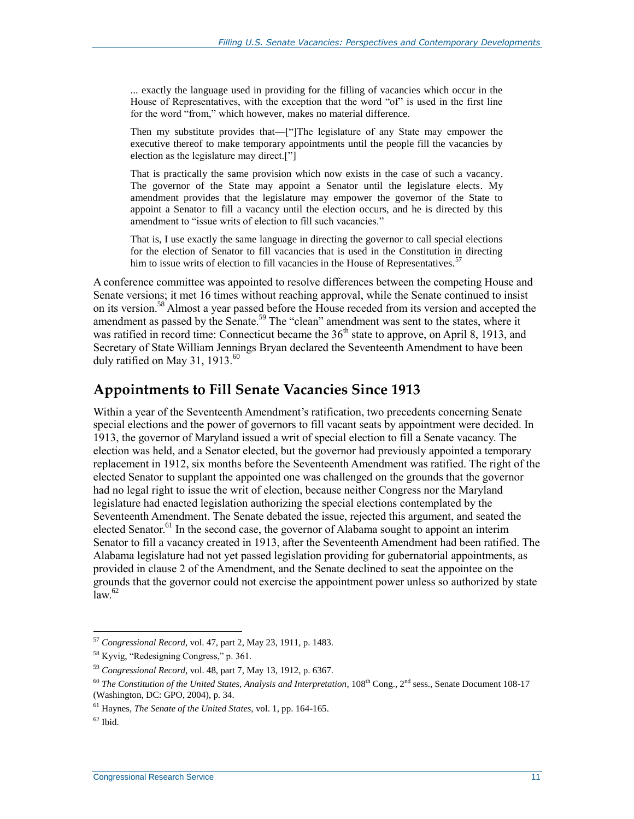... exactly the language used in providing for the filling of vacancies which occur in the House of Representatives, with the exception that the word "of" is used in the first line for the word "from," which however, makes no material difference.

Then my substitute provides that—["]The legislature of any State may empower the executive thereof to make temporary appointments until the people fill the vacancies by election as the legislature may direct.["]

That is practically the same provision which now exists in the case of such a vacancy. The governor of the State may appoint a Senator until the legislature elects. My amendment provides that the legislature may empower the governor of the State to appoint a Senator to fill a vacancy until the election occurs, and he is directed by this amendment to "issue writs of election to fill such vacancies."

That is, I use exactly the same language in directing the governor to call special elections for the election of Senator to fill vacancies that is used in the Constitution in directing him to issue writs of election to fill vacancies in the House of Representatives.<sup>57</sup>

A conference committee was appointed to resolve differences between the competing House and Senate versions; it met 16 times without reaching approval, while the Senate continued to insist on its version.<sup>58</sup> Almost a year passed before the House receded from its version and accepted the amendment as passed by the Senate.<sup>59</sup> The "clean" amendment was sent to the states, where it was ratified in record time: Connecticut became the  $36<sup>th</sup>$  state to approve, on April 8, 1913, and Secretary of State William Jennings Bryan declared the Seventeenth Amendment to have been duly ratified on May 31,  $1913.^{60}$ 

#### **Appointments to Fill Senate Vacancies Since 1913**

Within a year of the Seventeenth Amendment's ratification, two precedents concerning Senate special elections and the power of governors to fill vacant seats by appointment were decided. In 1913, the governor of Maryland issued a writ of special election to fill a Senate vacancy. The election was held, and a Senator elected, but the governor had previously appointed a temporary replacement in 1912, six months before the Seventeenth Amendment was ratified. The right of the elected Senator to supplant the appointed one was challenged on the grounds that the governor had no legal right to issue the writ of election, because neither Congress nor the Maryland legislature had enacted legislation authorizing the special elections contemplated by the Seventeenth Amendment. The Senate debated the issue, rejected this argument, and seated the elected Senator.<sup>61</sup> In the second case, the governor of Alabama sought to appoint an interim Senator to fill a vacancy created in 1913, after the Seventeenth Amendment had been ratified. The Alabama legislature had not yet passed legislation providing for gubernatorial appointments, as provided in clause 2 of the Amendment, and the Senate declined to seat the appointee on the grounds that the governor could not exercise the appointment power unless so authorized by state  $\text{law}$ <sup>62</sup>

<sup>57</sup> *Congressional Record*, vol. 47, part 2, May 23, 1911, p. 1483.

<sup>58</sup> Kyvig, "Redesigning Congress," p. 361.

<sup>59</sup> *Congressional Record,* vol. 48, part 7, May 13, 1912, p. 6367.

<sup>&</sup>lt;sup>60</sup> *The Constitution of the United States, Analysis and Interpretation*, 108<sup>th</sup> Cong., 2<sup>nd</sup> sess., Senate Document 108-17 (Washington, DC: GPO, 2004), p. 34.

<sup>61</sup> Haynes, *The Senate of the United States*, vol. 1, pp. 164-165.

 $62$  Ibid.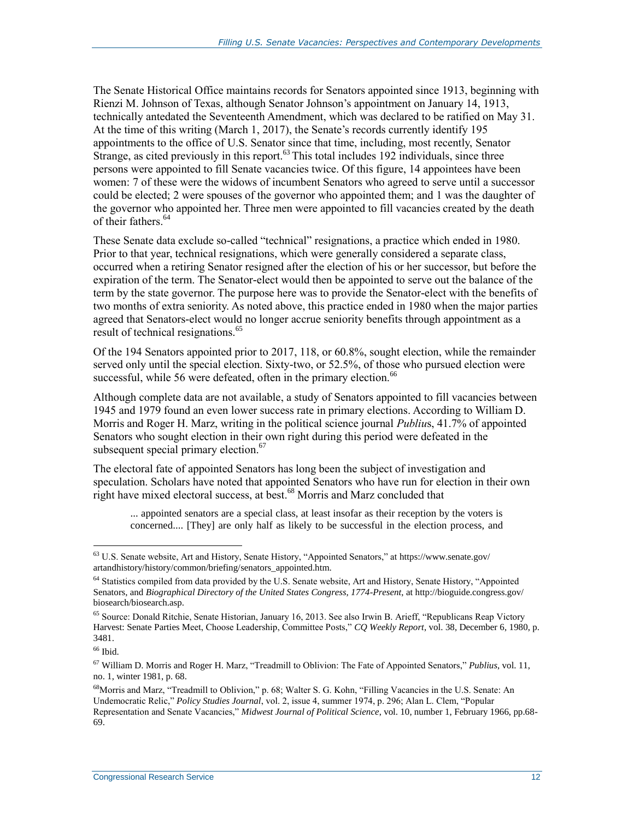The Senate Historical Office maintains records for Senators appointed since 1913, beginning with Rienzi M. Johnson of Texas, although Senator Johnson's appointment on January 14, 1913, technically antedated the Seventeenth Amendment, which was declared to be ratified on May 31. At the time of this writing (March 1, 2017), the Senate's records currently identify 195 appointments to the office of U.S. Senator since that time, including, most recently, Senator Strange, as cited previously in this report.<sup>63</sup> This total includes 192 individuals, since three persons were appointed to fill Senate vacancies twice. Of this figure, 14 appointees have been women: 7 of these were the widows of incumbent Senators who agreed to serve until a successor could be elected; 2 were spouses of the governor who appointed them; and 1 was the daughter of the governor who appointed her. Three men were appointed to fill vacancies created by the death of their fathers.<sup>64</sup>

These Senate data exclude so-called "technical" resignations, a practice which ended in 1980. Prior to that year, technical resignations, which were generally considered a separate class, occurred when a retiring Senator resigned after the election of his or her successor, but before the expiration of the term. The Senator-elect would then be appointed to serve out the balance of the term by the state governor. The purpose here was to provide the Senator-elect with the benefits of two months of extra seniority. As noted above, this practice ended in 1980 when the major parties agreed that Senators-elect would no longer accrue seniority benefits through appointment as a result of technical resignations.<sup>65</sup>

Of the 194 Senators appointed prior to 2017, 118, or 60.8%, sought election, while the remainder served only until the special election. Sixty-two, or 52.5%, of those who pursued election were successful, while 56 were defeated, often in the primary election.<sup>66</sup>

Although complete data are not available, a study of Senators appointed to fill vacancies between 1945 and 1979 found an even lower success rate in primary elections. According to William D. Morris and Roger H. Marz, writing in the political science journal *Publiu*s, 41.7% of appointed Senators who sought election in their own right during this period were defeated in the subsequent special primary election.<sup>67</sup>

The electoral fate of appointed Senators has long been the subject of investigation and speculation. Scholars have noted that appointed Senators who have run for election in their own right have mixed electoral success, at best.<sup>68</sup> Morris and Marz concluded that

... appointed senators are a special class, at least insofar as their reception by the voters is concerned.... [They] are only half as likely to be successful in the election process, and

 $^{66}$  Ibid.

<sup>63</sup> U.S. Senate website, Art and History, Senate History, "Appointed Senators," at https://www.senate.gov/ artandhistory/history/common/briefing/senators\_appointed.htm.

<sup>&</sup>lt;sup>64</sup> Statistics compiled from data provided by the U.S. Senate website, Art and History, Senate History, "Appointed Senators, and *Biographical Directory of the United States Congress, 1774-Present*, at http://bioguide.congress.gov/ biosearch/biosearch.asp.

<sup>&</sup>lt;sup>65</sup> Source: Donald Ritchie, Senate Historian, January 16, 2013. See also Irwin B. Arieff, "Republicans Reap Victory Harvest: Senate Parties Meet, Choose Leadership, Committee Posts," *CQ Weekly Report*, vol. 38, December 6, 1980, p. 3481.

<sup>67</sup> William D. Morris and Roger H. Marz, "Treadmill to Oblivion: The Fate of Appointed Senators," *Publius*, vol. 11, no. 1, winter 1981, p. 68.

<sup>68</sup>Morris and Marz, "Treadmill to Oblivion," p. 68; Walter S. G. Kohn, "Filling Vacancies in the U.S. Senate: An Undemocratic Relic," *Policy Studies Journal*, vol. 2, issue 4, summer 1974, p. 296; Alan L. Clem, "Popular Representation and Senate Vacancies," *Midwest Journal of Political Science*, vol. 10, number 1, February 1966, pp.68- 69.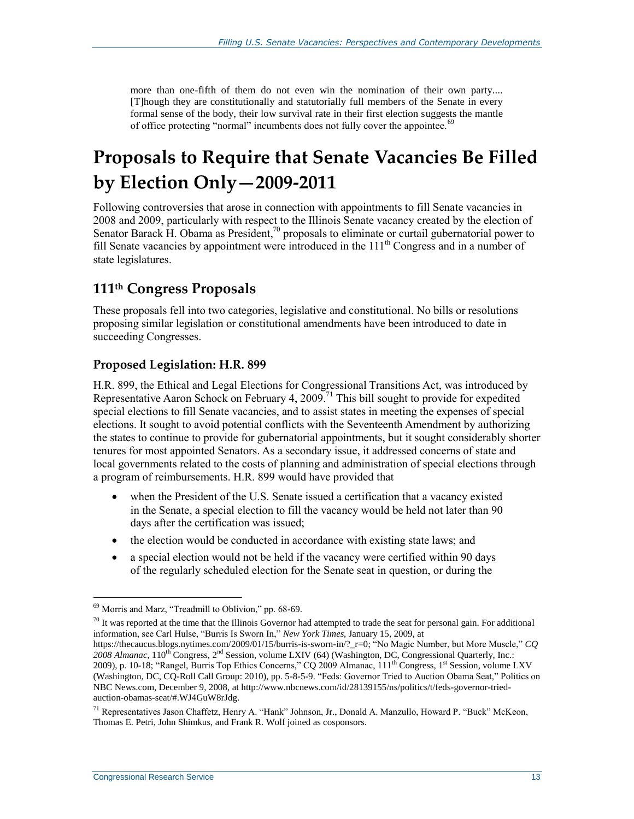more than one-fifth of them do not even win the nomination of their own party.... [T]hough they are constitutionally and statutorially full members of the Senate in every formal sense of the body, their low survival rate in their first election suggests the mantle of office protecting "normal" incumbents does not fully cover the appointee.<sup>69</sup>

## **Proposals to Require that Senate Vacancies Be Filled by Election Only—2009-2011**

Following controversies that arose in connection with appointments to fill Senate vacancies in 2008 and 2009, particularly with respect to the Illinois Senate vacancy created by the election of Senator Barack H. Obama as President,<sup>70</sup> proposals to eliminate or curtail gubernatorial power to fill Senate vacancies by appointment were introduced in the  $111<sup>th</sup>$  Congress and in a number of state legislatures.

### **111th Congress Proposals**

These proposals fell into two categories, legislative and constitutional. No bills or resolutions proposing similar legislation or constitutional amendments have been introduced to date in succeeding Congresses.

#### **Proposed Legislation: H.R. 899**

[H.R. 899,](http://www.congress.gov/cgi-lis/bdquery/z?d111:H.R.899:) the Ethical and Legal Elections for Congressional Transitions Act, was introduced by Representative Aaron Schock on February 4, 2009.<sup>71</sup> This bill sought to provide for expedited special elections to fill Senate vacancies, and to assist states in meeting the expenses of special elections. It sought to avoid potential conflicts with the Seventeenth Amendment by authorizing the states to continue to provide for gubernatorial appointments, but it sought considerably shorter tenures for most appointed Senators. As a secondary issue, it addressed concerns of state and local governments related to the costs of planning and administration of special elections through a program of reimbursements. H.R. 899 would have provided that

- when the President of the U.S. Senate issued a certification that a vacancy existed in the Senate, a special election to fill the vacancy would be held not later than 90 days after the certification was issued;
- the election would be conducted in accordance with existing state laws; and
- a special election would not be held if the vacancy were certified within 90 days of the regularly scheduled election for the Senate seat in question, or during the

 $70$  It was reported at the time that the Illinois Governor had attempted to trade the seat for personal gain. For additional information, see Carl Hulse, "Burris Is Sworn In," *New York Times*, January 15, 2009, at

https://thecaucus.blogs.nytimes.com/2009/01/15/burris-is-sworn-in/?\_r=0; "No Magic Number, but More Muscle," *CQ*  2008 Almanac, 110<sup>th</sup> Congress, 2<sup>nd</sup> Session, volume LXIV (64) (Washington, DC, Congressional Quarterly, Inc.: 2009), p. 10-18; "Rangel, Burris Top Ethics Concerns," CQ 2009 Almanac, 111<sup>th</sup> Congress, 1<sup>st</sup> Session, volume LXV (Washington, DC, CQ-Roll Call Group: 2010), pp. 5-8-5-9. "Feds: Governor Tried to Auction Obama Seat," Politics on NBC News.com, December 9, 2008, at http://www.nbcnews.com/id/28139155/ns/politics/t/feds-governor-triedauction-obamas-seat/#.WJ4GuW8rJdg.

 $\overline{a}$ <sup>69</sup> Morris and Marz, "Treadmill to Oblivion," pp. 68-69.

<sup>71</sup> Representatives Jason Chaffetz, Henry A. "Hank" Johnson, Jr., Donald A. Manzullo, Howard P. "Buck" McKeon, Thomas E. Petri, John Shimkus, and Frank R. Wolf joined as cosponsors.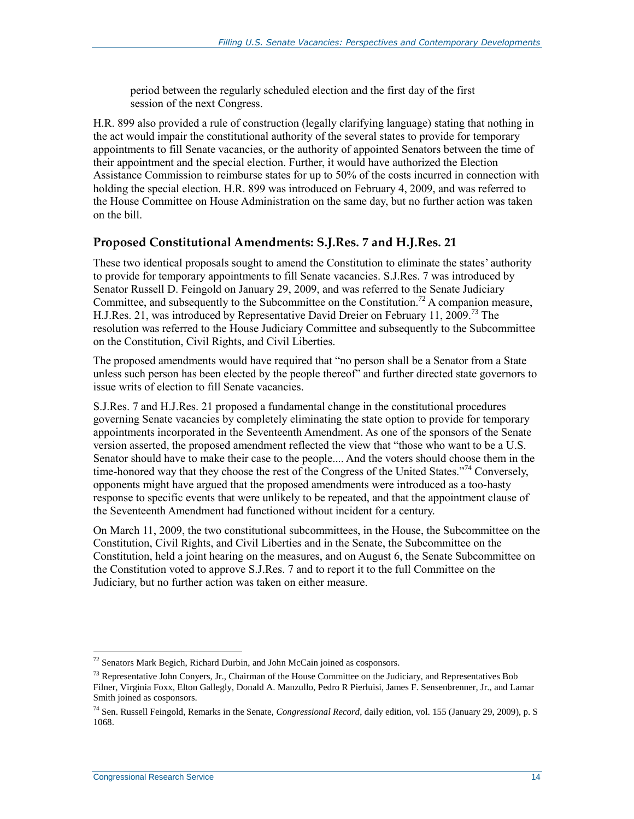period between the regularly scheduled election and the first day of the first session of the next Congress.

[H.R. 899](http://www.congress.gov/cgi-lis/bdquery/z?d111:H.R.899:) also provided a rule of construction (legally clarifying language) stating that nothing in the act would impair the constitutional authority of the several states to provide for temporary appointments to fill Senate vacancies, or the authority of appointed Senators between the time of their appointment and the special election. Further, it would have authorized the Election Assistance Commission to reimburse states for up to 50% of the costs incurred in connection with holding the special election. H.R. 899 was introduced on February 4, 2009, and was referred to the House Committee on House Administration on the same day, but no further action was taken on the bill.

#### **Proposed Constitutional Amendments: [S.J.Res. 7](http://www.congress.gov/cgi-lis/bdquery/z?d111:S.J.Res.7:) and H.J.Res. 21**

These two identical proposals sought to amend the Constitution to eliminate the states' authority to provide for temporary appointments to fill Senate vacancies. [S.J.Res. 7](http://www.congress.gov/cgi-lis/bdquery/z?d111:S.J.Res.7:) was introduced by Senator Russell D. Feingold on January 29, 2009, and was referred to the Senate Judiciary Committee, and subsequently to the Subcommittee on the Constitution.<sup>72</sup> A companion measure, H.J.Res. 21, was introduced by Representative David Dreier on February 11, 2009.<sup>73</sup> The resolution was referred to the House Judiciary Committee and subsequently to the Subcommittee on the Constitution, Civil Rights, and Civil Liberties.

The proposed amendments would have required that "no person shall be a Senator from a State unless such person has been elected by the people thereof" and further directed state governors to issue writs of election to fill Senate vacancies.

[S.J.Res. 7](http://www.congress.gov/cgi-lis/bdquery/z?d111:S.J.Res.7:) and H.J.Res. 21 proposed a fundamental change in the constitutional procedures governing Senate vacancies by completely eliminating the state option to provide for temporary appointments incorporated in the Seventeenth Amendment. As one of the sponsors of the Senate version asserted, the proposed amendment reflected the view that "those who want to be a U.S. Senator should have to make their case to the people.... And the voters should choose them in the time-honored way that they choose the rest of the Congress of the United States."<sup>74</sup> Conversely, opponents might have argued that the proposed amendments were introduced as a too-hasty response to specific events that were unlikely to be repeated, and that the appointment clause of the Seventeenth Amendment had functioned without incident for a century.

On March 11, 2009, the two constitutional subcommittees, in the House, the Subcommittee on the Constitution, Civil Rights, and Civil Liberties and in the Senate, the Subcommittee on the Constitution, held a joint hearing on the measures, and on August 6, the Senate Subcommittee on the Constitution voted to approve [S.J.Res. 7](http://www.congress.gov/cgi-lis/bdquery/z?d111:S.J.Res.7:) and to report it to the full Committee on the Judiciary, but no further action was taken on either measure.

 $72$  Senators Mark Begich, Richard Durbin, and John McCain joined as cosponsors.

 $^{73}$  Representative John Conyers, Jr., Chairman of the House Committee on the Judiciary, and Representatives Bob Filner, Virginia Foxx, Elton Gallegly, Donald A. Manzullo, Pedro R Pierluisi, James F. Sensenbrenner, Jr., and Lamar Smith joined as cosponsors.

<sup>74</sup> Sen. Russell Feingold, Remarks in the Senate, *Congressional Record*, daily edition, vol. 155 (January 29, 2009), p. S 1068.